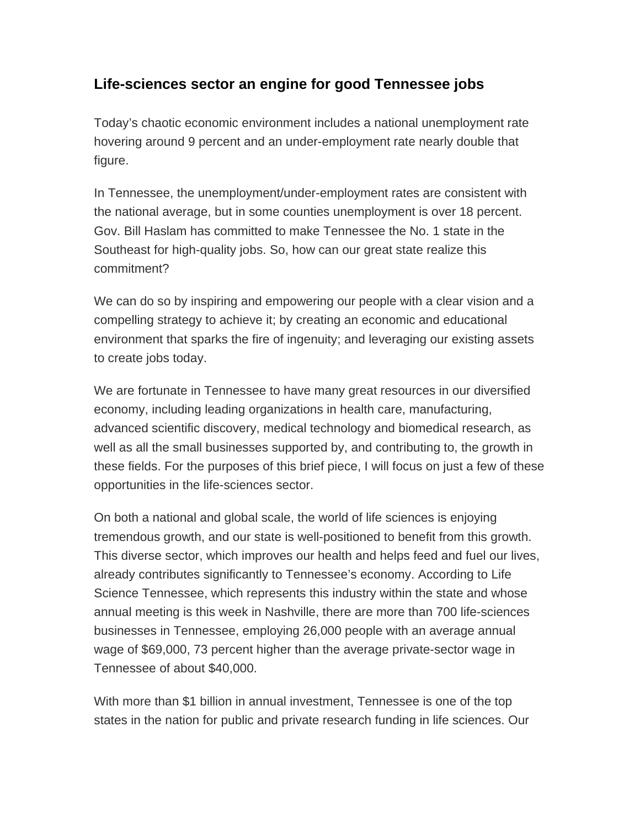## **Life-sciences sector an engine for good Tennessee jobs**

Today's chaotic economic environment includes a national unemployment rate hovering around 9 percent and an under-employment rate nearly double that figure.

In Tennessee, the unemployment/under-employment rates are consistent with the national average, but in some counties unemployment is over 18 percent. Gov. Bill Haslam has committed to make Tennessee the No. 1 state in the Southeast for high-quality jobs. So, how can our great state realize this commitment?

We can do so by inspiring and empowering our people with a clear vision and a compelling strategy to achieve it; by creating an economic and educational environment that sparks the fire of ingenuity; and leveraging our existing assets to create jobs today.

We are fortunate in Tennessee to have many great resources in our diversified economy, including leading organizations in health care, manufacturing, advanced scientific discovery, medical technology and biomedical research, as well as all the small businesses supported by, and contributing to, the growth in these fields. For the purposes of this brief piece, I will focus on just a few of these opportunities in the life-sciences sector.

On both a national and global scale, the world of life sciences is enjoying tremendous growth, and our state is well-positioned to benefit from this growth. This diverse sector, which improves our health and helps feed and fuel our lives, already contributes significantly to Tennessee's economy. According to Life Science Tennessee, which represents this industry within the state and whose annual meeting is this week in Nashville, there are more than 700 life-sciences businesses in Tennessee, employing 26,000 people with an average annual wage of \$69,000, 73 percent higher than the average private-sector wage in Tennessee of about \$40,000.

With more than \$1 billion in annual investment, Tennessee is one of the top states in the nation for public and private research funding in life sciences. Our